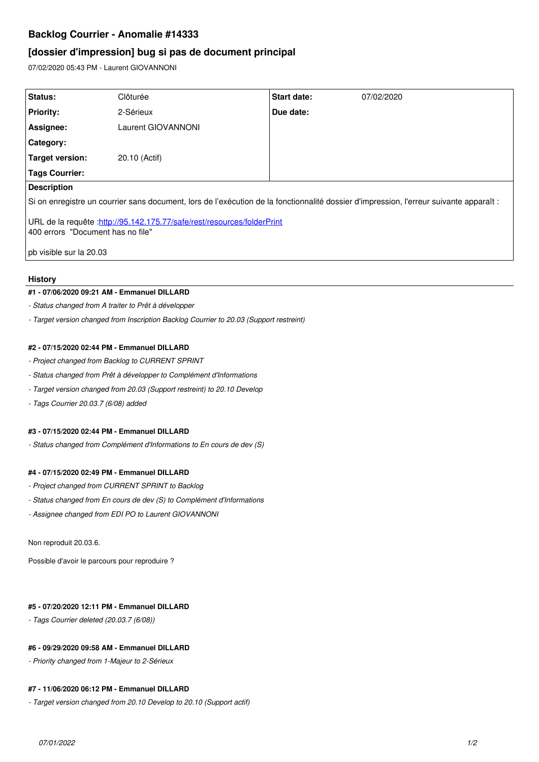# **Backlog Courrier - Anomalie #14333**

## **[dossier d'impression] bug si pas de document principal**

07/02/2020 05:43 PM - Laurent GIOVANNONI

| <b>Status:</b>                                                                                                                          | Clôturée           | <b>Start date:</b> | 07/02/2020 |
|-----------------------------------------------------------------------------------------------------------------------------------------|--------------------|--------------------|------------|
| <b>Priority:</b>                                                                                                                        | 2-Sérieux          | Due date:          |            |
| Assignee:                                                                                                                               | Laurent GIOVANNONI |                    |            |
| <b>Category:</b>                                                                                                                        |                    |                    |            |
| <b>Target version:</b>                                                                                                                  | 20.10 (Actif)      |                    |            |
| <b>Tags Courrier:</b>                                                                                                                   |                    |                    |            |
| <b>Description</b>                                                                                                                      |                    |                    |            |
| Si on enregistre un courrier sans document, lors de l'exécution de la fonctionnalité dossier d'impression, l'erreur suivante apparaît : |                    |                    |            |
| URL de la requête : http://95.142.175.77/safe/rest/resources/folderPrint<br>400 errors "Document has no file"                           |                    |                    |            |
| pb visible sur la 20.03                                                                                                                 |                    |                    |            |
|                                                                                                                                         |                    |                    |            |

#### **History**

#### **#1 - 07/06/2020 09:21 AM - Emmanuel DILLARD**

*- Status changed from A traiter to Prêt à développer*

*- Target version changed from Inscription Backlog Courrier to 20.03 (Support restreint)*

## **#2 - 07/15/2020 02:44 PM - Emmanuel DILLARD**

- *Project changed from Backlog to CURRENT SPRINT*
- *Status changed from Prêt à développer to Complément d'Informations*
- *Target version changed from 20.03 (Support restreint) to 20.10 Develop*
- *Tags Courrier 20.03.7 (6/08) added*

## **#3 - 07/15/2020 02:44 PM - Emmanuel DILLARD**

*- Status changed from Complément d'Informations to En cours de dev (S)*

## **#4 - 07/15/2020 02:49 PM - Emmanuel DILLARD**

- *Project changed from CURRENT SPRINT to Backlog*
- *Status changed from En cours de dev (S) to Complément d'Informations*
- *Assignee changed from EDI PO to Laurent GIOVANNONI*

#### Non reproduit 20.03.6.

Possible d'avoir le parcours pour reproduire ?

#### **#5 - 07/20/2020 12:11 PM - Emmanuel DILLARD**

*- Tags Courrier deleted (20.03.7 (6/08))*

## **#6 - 09/29/2020 09:58 AM - Emmanuel DILLARD**

*- Priority changed from 1-Majeur to 2-Sérieux*

### **#7 - 11/06/2020 06:12 PM - Emmanuel DILLARD**

*- Target version changed from 20.10 Develop to 20.10 (Support actif)*